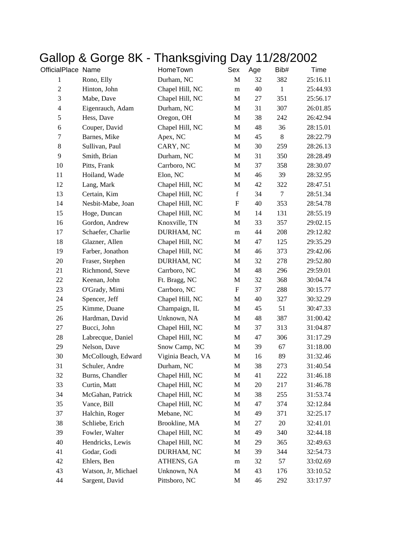| OfficialPlace Name |                     | HomeTown          | Sex                       | Age | Bib#         | Time     |
|--------------------|---------------------|-------------------|---------------------------|-----|--------------|----------|
| 1                  | Rono, Elly          | Durham, NC        | $\mathbf M$               | 32  | 382          | 25:16.11 |
| $\sqrt{2}$         | Hinton, John        | Chapel Hill, NC   | ${\bf m}$                 | 40  | $\mathbf{1}$ | 25:44.93 |
| 3                  | Mabe, Dave          | Chapel Hill, NC   | M                         | 27  | 351          | 25:56.17 |
| $\overline{4}$     | Eigenrauch, Adam    | Durham, NC        | M                         | 31  | 307          | 26:01.85 |
| 5                  | Hess, Dave          | Oregon, OH        | $\mathbf M$               | 38  | 242          | 26:42.94 |
| $\sqrt{6}$         | Couper, David       | Chapel Hill, NC   | $\mathbf M$               | 48  | 36           | 28:15.01 |
| $\tau$             | Barnes, Mike        | Apex, NC          | M                         | 45  | $8\,$        | 28:22.79 |
| $8\,$              | Sullivan, Paul      | CARY, NC          | M                         | 30  | 259          | 28:26.13 |
| 9                  | Smith, Brian        | Durham, NC        | $\mathbf M$               | 31  | 350          | 28:28.49 |
| 10                 | Pitts, Frank        | Carrboro, NC      | M                         | 37  | 358          | 28:30.07 |
| 11                 | Hoiland, Wade       | Elon, NC          | M                         | 46  | 39           | 28:32.95 |
| 12                 | Lang, Mark          | Chapel Hill, NC   | $\mathbf M$               | 42  | 322          | 28:47.51 |
| 13                 | Certain, Kim        | Chapel Hill, NC   | $\mathbf f$               | 34  | $\tau$       | 28:51.34 |
| 14                 | Nesbit-Mabe, Joan   | Chapel Hill, NC   | $\boldsymbol{\mathrm{F}}$ | 40  | 353          | 28:54.78 |
| 15                 | Hoge, Duncan        | Chapel Hill, NC   | M                         | 14  | 131          | 28:55.19 |
| 16                 | Gordon, Andrew      | Knoxville, TN     | M                         | 33  | 357          | 29:02.15 |
| 17                 | Schaefer, Charlie   | DURHAM, NC        | ${\bf m}$                 | 44  | 208          | 29:12.82 |
| 18                 | Glazner, Allen      | Chapel Hill, NC   | $\mathbf M$               | 47  | 125          | 29:35.29 |
| 19                 | Farber, Jonathon    | Chapel Hill, NC   | $\mathbf M$               | 46  | 373          | 29:42.06 |
| 20                 | Fraser, Stephen     | DURHAM, NC        | M                         | 32  | 278          | 29:52.80 |
| 21                 | Richmond, Steve     | Carrboro, NC      | $\mathbf M$               | 48  | 296          | 29:59.01 |
| 22                 | Keenan, John        | Ft. Bragg, NC     | M                         | 32  | 368          | 30:04.74 |
| 23                 | O'Grady, Mimi       | Carrboro, NC      | ${\bf F}$                 | 37  | 288          | 30:15.77 |
| 24                 | Spencer, Jeff       | Chapel Hill, NC   | $\mathbf M$               | 40  | 327          | 30:32.29 |
| 25                 | Kimme, Duane        | Champaign, IL     | M                         | 45  | 51           | 30:47.33 |
| 26                 | Hardman, David      | Unknown, NA       | $\mathbf M$               | 48  | 387          | 31:00.42 |
| 27                 | Bucci, John         | Chapel Hill, NC   | M                         | 37  | 313          | 31:04.87 |
| 28                 | Labrecque, Daniel   | Chapel Hill, NC   | M                         | 47  | 306          | 31:17.29 |
| 29                 | Nelson, Dave        | Snow Camp, NC     | M                         | 39  | 67           | 31:18.00 |
| 30                 | McCollough, Edward  | Viginia Beach, VA | M                         | 16  | 89           | 31:32.46 |
| 31                 | Schuler, Andre      | Durham, NC        | $\mathbf M$               | 38  | 273          | 31:40.54 |
| 32                 | Burns, Chandler     | Chapel Hill, NC   | $\mathbf M$               | 41  | $222\,$      | 31:46.18 |
| 33                 | Curtin, Matt        | Chapel Hill, NC   | M                         | 20  | 217          | 31:46.78 |
| 34                 | McGahan, Patrick    | Chapel Hill, NC   | M                         | 38  | 255          | 31:53.74 |
| 35                 | Vance, Bill         | Chapel Hill, NC   | M                         | 47  | 374          | 32:12.84 |
| 37                 | Halchin, Roger      | Mebane, NC        | M                         | 49  | 371          | 32:25.17 |
| 38                 | Schliebe, Erich     | Brookline, MA     | $\mathbf M$               | 27  | 20           | 32:41.01 |
| 39                 | Fowler, Walter      | Chapel Hill, NC   | M                         | 49  | 340          | 32:44.18 |
| 40                 | Hendricks, Lewis    | Chapel Hill, NC   | M                         | 29  | 365          | 32:49.63 |
| 41                 | Godar, Godi         | DURHAM, NC        | M                         | 39  | 344          | 32:54.73 |
| 42                 | Ehlers, Ben         | ATHENS, GA        | ${\bf m}$                 | 32  | 57           | 33:02.69 |
| 43                 | Watson, Jr, Michael | Unknown, NA       | M                         | 43  | 176          | 33:10.52 |
| 44                 | Sargent, David      | Pittsboro, NC     | $\mathbf M$               | 46  | 292          | 33:17.97 |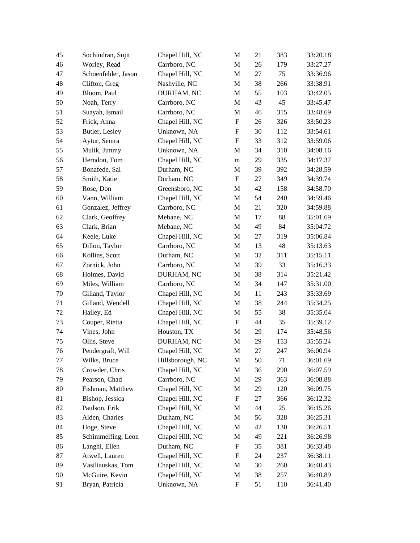| 45 | Sochindran, Sujit   | Chapel Hill, NC  | M                         | 21 | 383 | 33:20.18 |
|----|---------------------|------------------|---------------------------|----|-----|----------|
| 46 | Worley, Read        | Carrboro, NC     | $\mathbf M$               | 26 | 179 | 33:27.27 |
| 47 | Schoenfelder, Jason | Chapel Hill, NC  | $\mathbf M$               | 27 | 75  | 33:36.96 |
| 48 | Clifton, Greg       | Nashville, NC    | M                         | 38 | 266 | 33:38.91 |
| 49 | Bloom, Paul         | DURHAM, NC       | $\mathbf M$               | 55 | 103 | 33:42.05 |
| 50 | Noah, Terry         | Carrboro, NC     | $\mathbf M$               | 43 | 45  | 33:45.47 |
| 51 | Suayah, Ismail      | Carrboro, NC     | M                         | 46 | 315 | 33:48.69 |
| 52 | Frick, Anna         | Chapel Hill, NC  | $\boldsymbol{\mathrm{F}}$ | 26 | 326 | 33:50.23 |
| 53 | Butler, Lesley      | Unknown, NA      | $\boldsymbol{\mathrm{F}}$ | 30 | 112 | 33:54.61 |
| 54 | Aytur, Semra        | Chapel Hill, NC  | $\boldsymbol{\mathrm{F}}$ | 33 | 312 | 33:59.06 |
| 55 | Mulik, Jimmy        | Unknown, NA      | M                         | 34 | 310 | 34:08.16 |
| 56 | Herndon, Tom        | Chapel Hill, NC  | ${\bf m}$                 | 29 | 335 | 34:17.37 |
| 57 | Bonafede, Sal       | Durham, NC       | M                         | 39 | 392 | 34:28.59 |
| 58 | Smith, Katie        | Durham, NC       | $\boldsymbol{\mathrm{F}}$ | 27 | 349 | 34:39.74 |
| 59 | Rose, Don           | Greensboro, NC   | M                         | 42 | 158 | 34:58.70 |
| 60 | Vann, William       | Chapel Hill, NC  | $\mathbf M$               | 54 | 240 | 34:59.46 |
| 61 | Gonzalez, Jeffrey   | Carrboro, NC     | M                         | 21 | 320 | 34:59.88 |
| 62 | Clark, Geoffrey     | Mebane, NC       | $\mathbf M$               | 17 | 88  | 35:01.69 |
| 63 | Clark, Brian        | Mebane, NC       | $\mathbf M$               | 49 | 84  | 35:04.72 |
| 64 | Keele, Luke         | Chapel Hill, NC  | M                         | 27 | 319 | 35:06.84 |
| 65 | Dillon, Taylor      | Carrboro, NC     | M                         | 13 | 48  | 35:13.63 |
| 66 | Kollins, Scott      | Durham, NC       | $\mathbf M$               | 32 | 311 | 35:15.11 |
| 67 | Zornick, John       | Carrboro, NC     | $\mathbf M$               | 39 | 33  | 35:16.33 |
| 68 | Holmes, David       | DURHAM, NC       | M                         | 38 | 314 | 35:21.42 |
| 69 | Miles, William      | Carrboro, NC     | $\mathbf M$               | 34 | 147 | 35:31.00 |
| 70 | Gilland, Taylor     | Chapel Hill, NC  | $\mathbf M$               | 11 | 243 | 35:33.69 |
| 71 | Gilland, Wendell    | Chapel Hill, NC  | M                         | 38 | 244 | 35:34.25 |
| 72 | Hailey, Ed          | Chapel Hill, NC  | $\mathbf M$               | 55 | 38  | 35:35.04 |
| 73 | Couper, Rietta      | Chapel Hill, NC  | $\boldsymbol{\mathrm{F}}$ | 44 | 35  | 35:39.12 |
| 74 | Vines, John         | Houston, TX      | M                         | 29 | 174 | 35:48.56 |
| 75 | Ollis, Steve        | DURHAM, NC       | M                         | 29 | 153 | 35:55.24 |
| 76 | Pendergraft, Will   | Chapel Hill, NC  | M                         | 27 | 247 | 36:00.94 |
| 77 | Wilks, Bruce        | Hillsborough, NC | M                         | 50 | 71  | 36:01.69 |
| 78 | Crowder, Chris      | Chapel Hill, NC  | $\mathbf M$               | 36 | 290 | 36:07.59 |
| 79 | Pearson, Chad       | Carrboro, NC     | M                         | 29 | 363 | 36:08.88 |
| 80 | Fishman, Matthew    | Chapel Hill, NC  | M                         | 29 | 120 | 36:09.75 |
| 81 | Bishop, Jessica     | Chapel Hill, NC  | $\boldsymbol{\mathrm{F}}$ | 27 | 366 | 36:12.32 |
| 82 | Paulson, Erik       | Chapel Hill, NC  | M                         | 44 | 25  | 36:15.26 |
| 83 | Alden, Charles      | Durham, NC       | M                         | 56 | 328 | 36:25.31 |
| 84 | Hoge, Steve         | Chapel Hill, NC  | M                         | 42 | 130 | 36:26.51 |
| 85 | Schimmelfing, Leon  | Chapel Hill, NC  | M                         | 49 | 221 | 36:26.98 |
| 86 | Langhi, Ellen       | Durham, NC       | F                         | 35 | 381 | 36:33.48 |
| 87 | Atwell, Lauren      | Chapel Hill, NC  | F                         | 24 | 237 | 36:38.11 |
| 89 | Vasiliauskas, Tom   | Chapel Hill, NC  | M                         | 30 | 260 | 36:40.43 |
| 90 | McGuire, Kevin      | Chapel Hill, NC  | M                         | 38 | 257 | 36:40.89 |
| 91 | Bryan, Patricia     | Unknown, NA      | ${\bf F}$                 | 51 | 110 | 36:41.40 |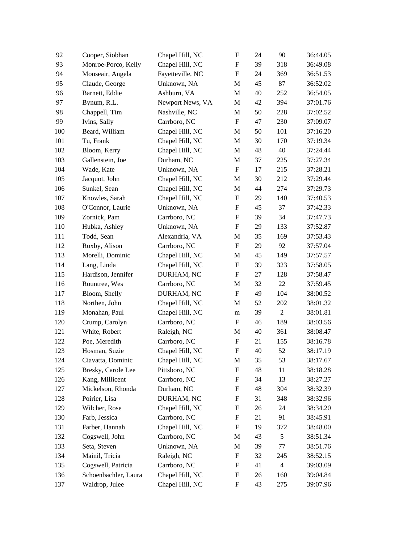| Chapel Hill, NC<br>93<br>Monroe-Porco, Kelly<br>$\boldsymbol{\mathrm{F}}$<br>39 |                |          |
|---------------------------------------------------------------------------------|----------------|----------|
|                                                                                 | 318            | 36:49.08 |
| 94<br>Monseair, Angela<br>Fayetteville, NC<br>$\boldsymbol{\mathrm{F}}$<br>24   | 369            | 36:51.53 |
| 95<br>Unknown, NA<br>45<br>Claude, George<br>M                                  | 87             | 36:52.02 |
| Barnett, Eddie<br>Ashburn, VA<br>$\mathbf M$<br>40<br>96                        | 252            | 36:54.05 |
| 97<br>Bynum, R.L.<br>Newport News, VA<br>$\mathbf M$<br>42                      | 394            | 37:01.76 |
| 98<br>Chappell, Tim<br>Nashville, NC<br>50<br>M                                 | 228            | 37:02.52 |
| 99<br>Ivins, Sally<br>Carrboro, NC<br>$\boldsymbol{\mathrm{F}}$<br>47           | 230            | 37:09.07 |
| 100<br>Beard, William<br>Chapel Hill, NC<br>$\mathbf M$<br>50                   | 101            | 37:16.20 |
| 101<br>Chapel Hill, NC<br>30<br>Tu, Frank<br>M                                  | 170            | 37:19.34 |
| 102<br>Chapel Hill, NC<br>48<br>Bloom, Kerry<br>M                               | 40             | 37:24.44 |
| 103<br>Gallenstein, Joe<br>Durham, NC<br>M<br>37                                | 225            | 37:27.34 |
| ${\bf F}$<br>104<br>Wade, Kate<br>Unknown, NA<br>17                             | 215            | 37:28.21 |
| Jacquot, John<br>30<br>105<br>Chapel Hill, NC<br>M                              | 212            | 37:29.44 |
| Sunkel, Sean<br>Chapel Hill, NC<br>106<br>M<br>44                               | 274            | 37:29.73 |
| ${\bf F}$<br>107<br>Knowles, Sarah<br>Chapel Hill, NC<br>29                     | 140            | 37:40.53 |
| 108<br>O'Connor, Laurie<br>Unknown, NA<br>$\boldsymbol{\mathrm{F}}$<br>45       | 37             | 37:42.33 |
| 109<br>Zornick, Pam<br>Carrboro, NC<br>$\boldsymbol{\mathrm{F}}$<br>39          | 34             | 37:47.73 |
| ${\bf F}$<br>Hubka, Ashley<br>Unknown, NA<br>110<br>29                          | 133            | 37:52.87 |
| Todd, Sean<br>Alexandria, VA<br>111<br>M<br>35                                  | 169            | 37:53.43 |
| 112<br>Roxby, Alison<br>Carrboro, NC<br>$\mathbf F$<br>29                       | 92             | 37:57.04 |
| 113<br>Morelli, Dominic<br>Chapel Hill, NC<br>$\mathbf M$<br>45                 | 149            | 37:57.57 |
| 114<br>Lang, Linda<br>$\boldsymbol{\mathrm{F}}$<br>39<br>Chapel Hill, NC        | 323            | 37:58.05 |
| Hardison, Jennifer<br>$\boldsymbol{\mathrm{F}}$<br>115<br>DURHAM, NC<br>27      | 128            | 37:58.47 |
| 116<br>Rountree, Wes<br>Carrboro, NC<br>$\mathbf M$<br>32                       | 22             | 37:59.45 |
| Bloom, Shelly<br>DURHAM, NC<br>$\mathbf F$<br>49<br>117                         | 104            | 38:00.52 |
| Northen, John<br>Chapel Hill, NC<br>52<br>118<br>M                              | 202            | 38:01.32 |
| 119<br>Monahan, Paul<br>Chapel Hill, NC<br>39<br>m                              | $\overline{2}$ | 38:01.81 |
| Carrboro, NC<br>$\boldsymbol{\mathrm{F}}$<br>120<br>Crump, Carolyn<br>46        | 189            | 38:03.56 |
| 121<br>White, Robert<br>Raleigh, NC<br>40<br>M                                  | 361            | 38:08.47 |
| Poe, Meredith<br>Carrboro, NC<br>$\boldsymbol{\mathrm{F}}$<br>122<br>21         | 155            | 38:16.78 |
| 123<br>Hosman, Suzie<br>Chapel Hill, NC<br>$\boldsymbol{\mathrm{F}}$<br>40      | 52             | 38:17.19 |
| Ciavatta, Dominic<br>Chapel Hill, NC<br>35<br>124<br>M                          | 53             | 38:17.67 |
| Pittsboro, NC<br>125<br>Bresky, Carole Lee<br>F<br>48                           | 11             | 38:18.28 |
| 126<br>Kang, Millicent<br>Carrboro, NC<br>$\boldsymbol{\mathrm{F}}$<br>34       | 13             | 38:27.27 |
| Mickelson, Rhonda<br>Durham, NC<br>48<br>127<br>F                               | 304            | 38:32.39 |
| Poirier, Lisa<br>DURHAM, NC<br>31<br>128<br>$\boldsymbol{\mathrm{F}}$           | 348            | 38:32.96 |
| 129<br>Wilcher, Rose<br>Chapel Hill, NC<br>$\boldsymbol{\mathrm{F}}$<br>26      | 24             | 38:34.20 |
| Farb, Jessica<br>Carrboro, NC<br>130<br>$\mathbf F$<br>21                       | 91             | 38:45.91 |
| 131<br>Farber, Hannah<br>Chapel Hill, NC<br>19<br>F                             | 372            | 38:48.00 |
| Cogswell, John<br>Carrboro, NC<br>132<br>M<br>43                                | 5              | 38:51.34 |
| Seta, Steven<br>Unknown, NA<br>39<br>133<br>M                                   | 77             | 38:51.76 |
| 134<br>Mainil, Tricia<br>Raleigh, NC<br>32<br>$\boldsymbol{\mathrm{F}}$         | 245            | 38:52.15 |
| 135<br>Carrboro, NC<br>Cogswell, Patricia<br>$\boldsymbol{F}$<br>41             | $\overline{4}$ | 39:03.09 |
| Schoenbachler, Laura<br>Chapel Hill, NC<br>136<br>$\boldsymbol{F}$<br>26        | 160            | 39:04.84 |
|                                                                                 |                |          |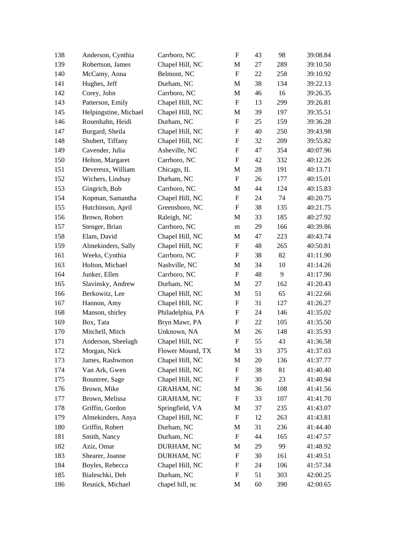| 138 | Anderson, Cynthia     | Carrboro, NC      | $\mathbf F$               | 43 | 98  | 39:08.84 |
|-----|-----------------------|-------------------|---------------------------|----|-----|----------|
| 139 | Robertson, James      | Chapel Hill, NC   | M                         | 27 | 289 | 39:10.50 |
| 140 | McCamy, Anna          | Belmont, NC       | $\mathbf F$               | 22 | 258 | 39:10.92 |
| 141 | Hughes, Jeff          | Durham, NC        | $\mathbf M$               | 38 | 134 | 39:22.13 |
| 142 | Corey, John           | Carrboro, NC      | M                         | 46 | 16  | 39:26.35 |
| 143 | Patterson, Emily      | Chapel Hill, NC   | $\boldsymbol{\mathrm{F}}$ | 13 | 299 | 39:26.81 |
| 145 | Helpingstine, Michael | Chapel Hill, NC   | M                         | 39 | 197 | 39:35.51 |
| 146 | Rosenhahn, Heidi      | Durham, NC        | $\boldsymbol{\mathrm{F}}$ | 25 | 159 | 39:36.28 |
| 147 | Burgard, Sheila       | Chapel Hill, NC   | $\boldsymbol{\mathrm{F}}$ | 40 | 250 | 39:43.98 |
| 148 | Shubert, Tiffany      | Chapel Hill, NC   | $\boldsymbol{\mathrm{F}}$ | 32 | 209 | 39:55.82 |
| 149 | Cavender, Julia       | Asheville, NC     | $\boldsymbol{\mathrm{F}}$ | 47 | 354 | 40:07.96 |
| 150 | Helton, Margaret      | Carrboro, NC      | $\boldsymbol{\mathrm{F}}$ | 42 | 332 | 40:12.26 |
| 151 | Devereux, William     | Chicago, IL       | M                         | 28 | 191 | 40:13.71 |
| 152 | Wichers, Lindsay      | Durham, NC        | $\mathbf F$               | 26 | 177 | 40:15.01 |
| 153 | Gingrich, Bob         | Carrboro, NC      | M                         | 44 | 124 | 40:15.83 |
| 154 | Kopman, Samantha      | Chapel Hill, NC   | $\boldsymbol{\mathrm{F}}$ | 24 | 74  | 40:20.75 |
| 155 | Hutchinson, April     | Greensboro, NC    | $\boldsymbol{\mathrm{F}}$ | 38 | 135 | 40:21.75 |
| 156 | Brown, Robert         | Raleigh, NC       | M                         | 33 | 185 | 40:27.92 |
| 157 | Stenger, Brian        | Carrboro, NC      | m                         | 29 | 166 | 40:39.86 |
| 158 | Elam, David           | Chapel Hill, NC   | M                         | 47 | 223 | 40:43.74 |
| 159 | Almekinders, Sally    | Chapel Hill, NC   | F                         | 48 | 265 | 40:50.81 |
| 161 | Weeks, Cynthia        | Carrboro, NC      | $\mathbf F$               | 38 | 82  | 41:11.90 |
| 163 | Holton, Michael       | Nashville, NC     | M                         | 34 | 10  | 41:14.26 |
| 164 | Junker, Ellen         | Carrboro, NC      | $\boldsymbol{\mathrm{F}}$ | 48 | 9   | 41:17.96 |
| 165 | Slavinsky, Andrew     | Durham, NC        | M                         | 27 | 162 | 41:20.43 |
| 166 | Berkowitz, Lee        | Chapel Hill, NC   | M                         | 51 | 65  | 41:22.66 |
| 167 | Hannon, Amy           | Chapel Hill, NC   | $\boldsymbol{\mathrm{F}}$ | 31 | 127 | 41:26.27 |
| 168 | Manson, shirley       | Philadelphia, PA  | F                         | 24 | 146 | 41:35.02 |
| 169 | Box, Tata             | Bryn Mawr, PA     | $\mathbf F$               | 22 | 105 | 41:35.50 |
| 170 | Mitchell, Mitch       | Unknown, NA       | M                         | 26 | 148 | 41:35.93 |
| 171 | Anderson, Sheelagh    | Chapel Hill, NC   | $\mathbf F$               | 55 | 43  | 41:36.58 |
| 172 | Morgan, Nick          | Flower Mound, TX  | M                         | 33 | 375 | 41:37.03 |
| 173 | James, Rashwmon       | Chapel Hill, NC   | M                         | 20 | 136 | 41:37.77 |
| 174 | Van Ark, Gwen         | Chapel Hill, NC   | F                         | 38 | 81  | 41:40.40 |
| 175 | Rountree, Sage        | Chapel Hill, NC   | $\boldsymbol{\mathrm{F}}$ | 30 | 23  | 41:40.94 |
| 176 | Brown, Mike           | <b>GRAHAM, NC</b> | M                         | 36 | 108 | 41:41.56 |
| 177 | Brown, Melissa        | <b>GRAHAM, NC</b> | F                         | 33 | 107 | 41:41.70 |
| 178 | Griffin, Gordon       | Springfield, VA   | M                         | 37 | 235 | 41:43.07 |
| 179 | Almekinders, Anya     | Chapel Hill, NC   | $\boldsymbol{\mathrm{F}}$ | 12 | 263 | 41:43.81 |
| 180 | Griffin, Robert       | Durham, NC        | M                         | 31 | 236 | 41:44.40 |
| 181 | Smith, Nancy          | Durham, NC        | F                         | 44 | 165 | 41:47.57 |
| 182 | Aziz, Omar            | DURHAM, NC        | М                         | 29 | 99  | 41:48.92 |
| 183 | Shearer, Joanne       | DURHAM, NC        | F                         | 30 | 161 | 41:49.51 |
| 184 | Boyles, Rebecca       | Chapel Hill, NC   | F                         | 24 | 106 | 41:57.34 |
| 185 | Bialeschki, Deb       | Durham, NC        | F                         | 51 | 303 | 42:00.25 |
| 186 | Resnick, Michael      | chapel hill, nc   | M                         | 60 | 390 | 42:00.65 |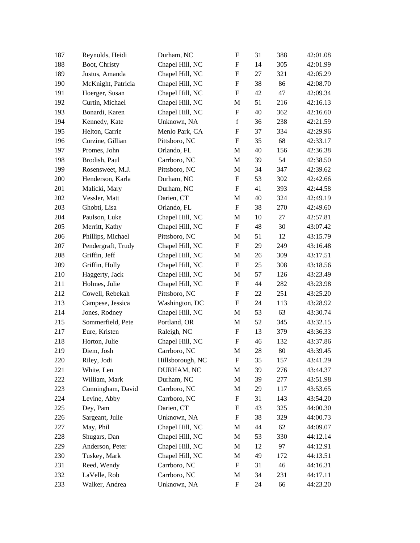| 187 | Reynolds, Heidi    | Durham, NC       | $\boldsymbol{\mathrm{F}}$ | 31     | 388 | 42:01.08 |
|-----|--------------------|------------------|---------------------------|--------|-----|----------|
| 188 | Boot, Christy      | Chapel Hill, NC  | $\boldsymbol{\mathrm{F}}$ | 14     | 305 | 42:01.99 |
| 189 | Justus, Amanda     | Chapel Hill, NC  | $\boldsymbol{\mathrm{F}}$ | 27     | 321 | 42:05.29 |
| 190 | McKnight, Patricia | Chapel Hill, NC  | $\boldsymbol{\mathrm{F}}$ | 38     | 86  | 42:08.70 |
| 191 | Hoerger, Susan     | Chapel Hill, NC  | $\boldsymbol{\mathrm{F}}$ | 42     | 47  | 42:09.34 |
| 192 | Curtin, Michael    | Chapel Hill, NC  | M                         | 51     | 216 | 42:16.13 |
| 193 | Bonardi, Karen     | Chapel Hill, NC  | $\boldsymbol{\mathrm{F}}$ | 40     | 362 | 42:16.60 |
| 194 | Kennedy, Kate      | Unknown, NA      | $\mathbf f$               | 36     | 238 | 42:21.59 |
| 195 | Helton, Carrie     | Menlo Park, CA   | $\boldsymbol{\mathrm{F}}$ | 37     | 334 | 42:29.96 |
| 196 | Corzine, Gillian   | Pittsboro, NC    | $\boldsymbol{\mathrm{F}}$ | 35     | 68  | 42:33.17 |
| 197 | Promes, John       | Orlando, FL      | M                         | 40     | 156 | 42:36.38 |
| 198 | Brodish, Paul      | Carrboro, NC     | M                         | 39     | 54  | 42:38.50 |
| 199 | Rosensweet, M.J.   | Pittsboro, NC    | $\mathbf M$               | 34     | 347 | 42:39.62 |
| 200 | Henderson, Karla   | Durham, NC       | $\boldsymbol{\mathrm{F}}$ | 53     | 302 | 42:42.66 |
| 201 | Malicki, Mary      | Durham, NC       | $\mathbf F$               | 41     | 393 | 42:44.58 |
| 202 | Vessler, Matt      | Darien, CT       | $\mathbf M$               | 40     | 324 | 42:49.19 |
| 203 | Ghobti, Lisa       | Orlando, FL      | $\boldsymbol{\mathrm{F}}$ | 38     | 270 | 42:49.60 |
| 204 | Paulson, Luke      | Chapel Hill, NC  | M                         | 10     | 27  | 42:57.81 |
| 205 | Merritt, Kathy     | Chapel Hill, NC  | $\mathbf F$               | 48     | 30  | 43:07.42 |
| 206 | Phillips, Michael  | Pittsboro, NC    | M                         | 51     | 12  | 43:15.79 |
| 207 | Pendergraft, Trudy | Chapel Hill, NC  | $\boldsymbol{\mathrm{F}}$ | 29     | 249 | 43:16.48 |
| 208 | Griffin, Jeff      | Chapel Hill, NC  | M                         | 26     | 309 | 43:17.51 |
| 209 | Griffin, Holly     | Chapel Hill, NC  | $\boldsymbol{\mathrm{F}}$ | 25     | 308 | 43:18.56 |
| 210 | Haggerty, Jack     | Chapel Hill, NC  | $\mathbf M$               | 57     | 126 | 43:23.49 |
| 211 | Holmes, Julie      | Chapel Hill, NC  | $\mathbf F$               | 44     | 282 | 43:23.98 |
| 212 | Cowell, Rebekah    | Pittsboro, NC    | $\boldsymbol{\mathrm{F}}$ | 22     | 251 | 43:25.20 |
| 213 | Campese, Jessica   | Washington, DC   | $\mathbf F$               | 24     | 113 | 43:28.92 |
| 214 | Jones, Rodney      | Chapel Hill, NC  | M                         | 53     | 63  | 43:30.74 |
| 215 | Sommerfield, Pete  | Portland, OR     | M                         | 52     | 345 | 43:32.15 |
| 217 | Eure, Kristen      | Raleigh, NC      | $\boldsymbol{\mathrm{F}}$ | 13     | 379 | 43:36.33 |
| 218 | Horton, Julie      | Chapel Hill, NC  | F                         | 46     | 132 | 43:37.86 |
| 219 | Diem, Josh         | Carrboro, NC     | M                         | $28\,$ | 80  | 43:39.45 |
| 220 | Riley, Jodi        | Hillsborough, NC | ${\bf F}$                 | 35     | 157 | 43:41.29 |
| 221 | White, Len         | DURHAM, NC       | M                         | 39     | 276 | 43:44.37 |
| 222 | William, Mark      | Durham, NC       | M                         | 39     | 277 | 43:51.98 |
| 223 | Cunningham, David  | Carrboro, NC     | M                         | 29     | 117 | 43:53.65 |
| 224 | Levine, Abby       | Carrboro, NC     | $\boldsymbol{\mathrm{F}}$ | 31     | 143 | 43:54.20 |
| 225 | Dey, Pam           | Darien, CT       | F                         | 43     | 325 | 44:00.30 |
| 226 | Sargeant, Julie    | Unknown, NA      | F                         | 38     | 329 | 44:00.73 |
| 227 | May, Phil          | Chapel Hill, NC  | M                         | 44     | 62  | 44:09.07 |
| 228 | Shugars, Dan       | Chapel Hill, NC  | M                         | 53     | 330 | 44:12.14 |
| 229 | Anderson, Peter    | Chapel Hill, NC  | M                         | 12     | 97  | 44:12.91 |
| 230 | Tuskey, Mark       | Chapel Hill, NC  | M                         | 49     | 172 | 44:13.51 |
| 231 | Reed, Wendy        | Carrboro, NC     | $\boldsymbol{\mathrm{F}}$ | 31     | 46  | 44:16.31 |
| 232 | LaVelle, Rob       | Carrboro, NC     | M                         | 34     | 231 | 44:17.11 |
| 233 | Walker, Andrea     | Unknown, NA      | F                         | 24     | 66  | 44:23.20 |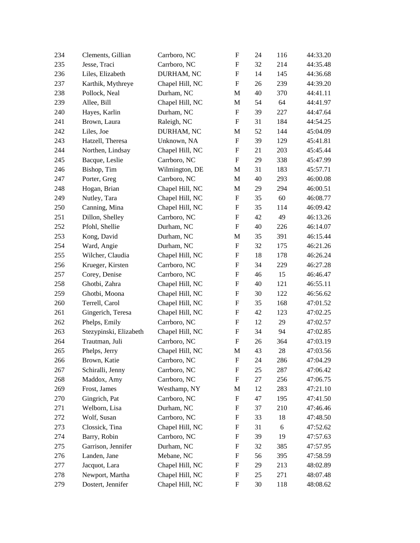| 234 | Clements, Gillian      | Carrboro, NC    | $\mathbf F$               | 24 | 116 | 44:33.20 |
|-----|------------------------|-----------------|---------------------------|----|-----|----------|
| 235 | Jesse, Traci           | Carrboro, NC    | $\boldsymbol{\mathrm{F}}$ | 32 | 214 | 44:35.48 |
| 236 | Liles, Elizabeth       | DURHAM, NC      | $\boldsymbol{\mathrm{F}}$ | 14 | 145 | 44:36.68 |
| 237 | Karthik, Mythreye      | Chapel Hill, NC | $\mathbf F$               | 26 | 239 | 44:39.20 |
| 238 | Pollock, Neal          | Durham, NC      | M                         | 40 | 370 | 44:41.11 |
| 239 | Allee, Bill            | Chapel Hill, NC | M                         | 54 | 64  | 44:41.97 |
| 240 | Hayes, Karlin          | Durham, NC      | $\mathbf F$               | 39 | 227 | 44:47.64 |
| 241 | Brown, Laura           | Raleigh, NC     | $\mathbf F$               | 31 | 184 | 44:54.25 |
| 242 | Liles, Joe             | DURHAM, NC      | M                         | 52 | 144 | 45:04.09 |
| 243 | Hatzell, Theresa       | Unknown, NA     | $\mathbf F$               | 39 | 129 | 45:41.81 |
| 244 | Northen, Lindsay       | Chapel Hill, NC | $\boldsymbol{\mathrm{F}}$ | 21 | 203 | 45:45.44 |
| 245 | Bacque, Leslie         | Carrboro, NC    | $\mathbf F$               | 29 | 338 | 45:47.99 |
| 246 | Bishop, Tim            | Wilmington, DE  | $\mathbf M$               | 31 | 183 | 45:57.71 |
| 247 | Porter, Greg           | Carrboro, NC    | M                         | 40 | 293 | 46:00.08 |
| 248 | Hogan, Brian           | Chapel Hill, NC | M                         | 29 | 294 | 46:00.51 |
| 249 | Nutley, Tara           | Chapel Hill, NC | $\boldsymbol{\mathrm{F}}$ | 35 | 60  | 46:08.77 |
| 250 | Canning, Mina          | Chapel Hill, NC | $\boldsymbol{\mathrm{F}}$ | 35 | 114 | 46:09.42 |
| 251 | Dillon, Shelley        | Carrboro, NC    | $\boldsymbol{\mathrm{F}}$ | 42 | 49  | 46:13.26 |
| 252 | Pfohl, Shellie         | Durham, NC      | $\boldsymbol{\mathrm{F}}$ | 40 | 226 | 46:14.07 |
| 253 | Kong, David            | Durham, NC      | M                         | 35 | 391 | 46:15.44 |
| 254 | Ward, Angie            | Durham, NC      | $\boldsymbol{\mathrm{F}}$ | 32 | 175 | 46:21.26 |
| 255 | Wilcher, Claudia       | Chapel Hill, NC | $\boldsymbol{\mathrm{F}}$ | 18 | 178 | 46:26.24 |
| 256 | Krueger, Kirsten       | Carrboro, NC    | $\boldsymbol{\mathrm{F}}$ | 34 | 229 | 46:27.28 |
| 257 | Corey, Denise          | Carrboro, NC    | $\boldsymbol{\mathrm{F}}$ | 46 | 15  | 46:46.47 |
| 258 | Ghotbi, Zahra          | Chapel Hill, NC | F                         | 40 | 121 | 46:55.11 |
| 259 | Ghotbi, Moona          | Chapel Hill, NC | $\boldsymbol{\mathrm{F}}$ | 30 | 122 | 46:56.62 |
| 260 | Terrell, Carol         | Chapel Hill, NC | F                         | 35 | 168 | 47:01.52 |
| 261 | Gingerich, Teresa      | Chapel Hill, NC | F                         | 42 | 123 | 47:02.25 |
| 262 | Phelps, Emily          | Carrboro, NC    | $\boldsymbol{\mathrm{F}}$ | 12 | 29  | 47:02.57 |
| 263 | Stezypinski, Elizabeth | Chapel Hill, NC | $\boldsymbol{\mathrm{F}}$ | 34 | 94  | 47:02.85 |
| 264 | Trautman, Juli         | Carrboro, NC    | F                         | 26 | 364 | 47:03.19 |
| 265 | Phelps, Jerry          | Chapel Hill, NC | $\mathbf M$               | 43 | 28  | 47:03.56 |
| 266 | Brown, Katie           | Carrboro, NC    | ${\bf F}$                 | 24 | 286 | 47:04.29 |
| 267 | Schiralli, Jenny       | Carrboro, NC    | $\boldsymbol{\mathrm{F}}$ | 25 | 287 | 47:06.42 |
| 268 | Maddox, Amy            | Carrboro, NC    | $\boldsymbol{\mathrm{F}}$ | 27 | 256 | 47:06.75 |
| 269 | Frost, James           | Westhamp, NY    | M                         | 12 | 283 | 47:21.10 |
| 270 | Gingrich, Pat          | Carrboro, NC    | F                         | 47 | 195 | 47:41.50 |
| 271 | Welborn, Lisa          | Durham, NC      | F                         | 37 | 210 | 47:46.46 |
| 272 | Wolf, Susan            | Carrboro, NC    | F                         | 33 | 18  | 47:48.50 |
| 273 | Clossick, Tina         | Chapel Hill, NC | F                         | 31 | 6   | 47:52.62 |
| 274 | Barry, Robin           | Carrboro, NC    | F                         | 39 | 19  | 47:57.63 |
| 275 | Garrison, Jennifer     | Durham, NC      | F                         | 32 | 385 | 47:57.95 |
| 276 | Landen, Jane           | Mebane, NC      | F                         | 56 | 395 | 47:58.59 |
| 277 | Jacquot, Lara          | Chapel Hill, NC | F                         | 29 | 213 | 48:02.89 |
| 278 | Newport, Martha        | Chapel Hill, NC | F                         | 25 | 271 | 48:07.48 |
| 279 | Dostert, Jennifer      | Chapel Hill, NC | F                         | 30 | 118 | 48:08.62 |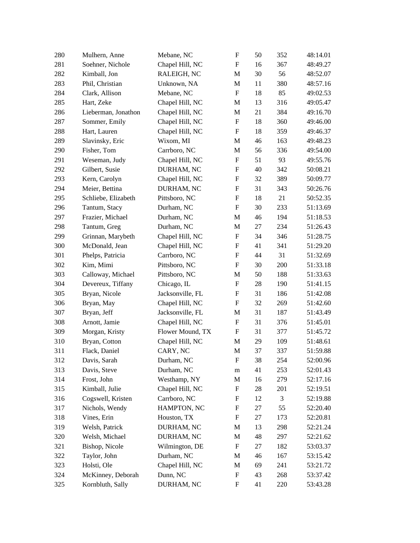| 280 | Mulhern, Anne       | Mebane, NC       | F                         | 50 | 352 | 48:14.01 |
|-----|---------------------|------------------|---------------------------|----|-----|----------|
| 281 | Soehner, Nichole    | Chapel Hill, NC  | $\boldsymbol{\mathrm{F}}$ | 16 | 367 | 48:49.27 |
| 282 | Kimball, Jon        | RALEIGH, NC      | M                         | 30 | 56  | 48:52.07 |
| 283 | Phil, Christian     | Unknown, NA      | M                         | 11 | 380 | 48:57.16 |
| 284 | Clark, Allison      | Mebane, NC       | $\boldsymbol{\mathrm{F}}$ | 18 | 85  | 49:02.53 |
| 285 | Hart, Zeke          | Chapel Hill, NC  | M                         | 13 | 316 | 49:05.47 |
| 286 | Lieberman, Jonathon | Chapel Hill, NC  | $\mathbf M$               | 21 | 384 | 49:16.70 |
| 287 | Sommer, Emily       | Chapel Hill, NC  | $\boldsymbol{\mathrm{F}}$ | 18 | 360 | 49:46.00 |
| 288 | Hart, Lauren        | Chapel Hill, NC  | $\boldsymbol{\mathrm{F}}$ | 18 | 359 | 49:46.37 |
| 289 | Slavinsky, Eric     | Wixom, MI        | M                         | 46 | 163 | 49:48.23 |
| 290 | Fisher, Tom         | Carrboro, NC     | M                         | 56 | 336 | 49:54.00 |
| 291 | Weseman, Judy       | Chapel Hill, NC  | $\boldsymbol{\mathrm{F}}$ | 51 | 93  | 49:55.76 |
| 292 | Gilbert, Susie      | DURHAM, NC       | $\boldsymbol{\mathrm{F}}$ | 40 | 342 | 50:08.21 |
| 293 | Kern, Carolyn       | Chapel Hill, NC  | $\boldsymbol{\mathrm{F}}$ | 32 | 389 | 50:09.77 |
| 294 | Meier, Bettina      | DURHAM, NC       | F                         | 31 | 343 | 50:26.76 |
| 295 | Schliebe, Elizabeth | Pittsboro, NC    | $\boldsymbol{\mathrm{F}}$ | 18 | 21  | 50:52.35 |
| 296 | Tantum, Stacy       | Durham, NC       | $\boldsymbol{\mathrm{F}}$ | 30 | 233 | 51:13.69 |
| 297 | Frazier, Michael    | Durham, NC       | M                         | 46 | 194 | 51:18.53 |
| 298 | Tantum, Greg        | Durham, NC       | M                         | 27 | 234 | 51:26.43 |
| 299 | Grinnan, Marybeth   | Chapel Hill, NC  | $\boldsymbol{\mathrm{F}}$ | 34 | 346 | 51:28.75 |
| 300 | McDonald, Jean      | Chapel Hill, NC  | F                         | 41 | 341 | 51:29.20 |
| 301 | Phelps, Patricia    | Carrboro, NC     | F                         | 44 | 31  | 51:32.69 |
| 302 | Kim, Mimi           | Pittsboro, NC    | $\boldsymbol{\mathrm{F}}$ | 30 | 200 | 51:33.18 |
| 303 | Calloway, Michael   | Pittsboro, NC    | M                         | 50 | 188 | 51:33.63 |
| 304 | Devereux, Tiffany   | Chicago, IL      | F                         | 28 | 190 | 51:41.15 |
| 305 | Bryan, Nicole       | Jacksonville, FL | $\boldsymbol{\mathrm{F}}$ | 31 | 186 | 51:42.08 |
| 306 | Bryan, May          | Chapel Hill, NC  | $\boldsymbol{\mathrm{F}}$ | 32 | 269 | 51:42.60 |
| 307 | Bryan, Jeff         | Jacksonville, FL | M                         | 31 | 187 | 51:43.49 |
| 308 | Arnott, Jamie       | Chapel Hill, NC  | $\boldsymbol{\mathrm{F}}$ | 31 | 376 | 51:45.01 |
| 309 | Morgan, Kristy      | Flower Mound, TX | $\boldsymbol{\mathrm{F}}$ | 31 | 377 | 51:45.72 |
| 310 | Bryan, Cotton       | Chapel Hill, NC  | M                         | 29 | 109 | 51:48.61 |
| 311 | Flack, Daniel       | CARY, NC         | $\mathbf M$               | 37 | 337 | 51:59.88 |
| 312 | Davis, Sarah        | Durham, NC       | ${\bf F}$                 | 38 | 254 | 52:00.96 |
| 313 | Davis, Steve        | Durham, NC       | m                         | 41 | 253 | 52:01.43 |
| 314 | Frost, John         | Westhamp, NY     | M                         | 16 | 279 | 52:17.16 |
| 315 | Kimball, Julie      | Chapel Hill, NC  | F                         | 28 | 201 | 52:19.51 |
| 316 | Cogswell, Kristen   | Carrboro, NC     | F                         | 12 | 3   | 52:19.88 |
| 317 | Nichols, Wendy      | HAMPTON, NC      | F                         | 27 | 55  | 52:20.40 |
| 318 | Vines, Erin         | Houston, TX      | F                         | 27 | 173 | 52:20.81 |
| 319 | Welsh, Patrick      | DURHAM, NC       | M                         | 13 | 298 | 52:21.24 |
| 320 | Welsh, Michael      | DURHAM, NC       | M                         | 48 | 297 | 52:21.62 |
| 321 | Bishop, Nicole      | Wilmington, DE   | F                         | 27 | 182 | 53:03.37 |
| 322 | Taylor, John        | Durham, NC       | M                         | 46 | 167 | 53:15.42 |
| 323 | Holsti, Ole         | Chapel Hill, NC  | M                         | 69 | 241 | 53:21.72 |
| 324 | McKinney, Deborah   | Dunn, NC         | F                         | 43 | 268 | 53:37.42 |
| 325 | Kornbluth, Sally    | DURHAM, NC       | F                         | 41 | 220 | 53:43.28 |